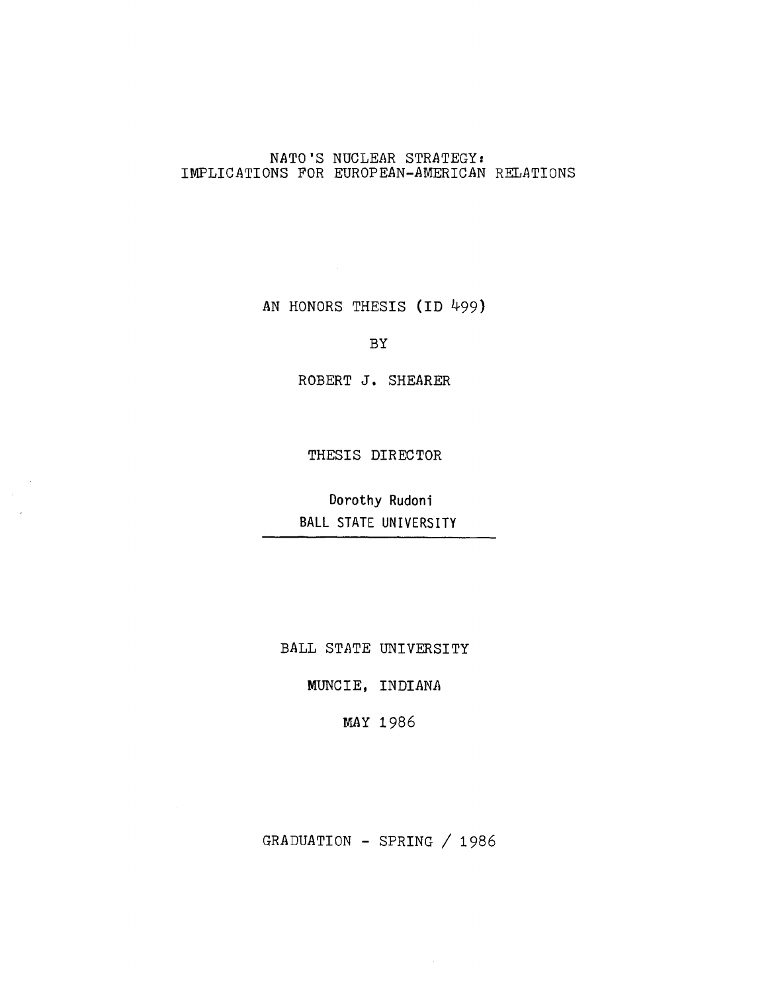## NATO'S NUCLEAR STRATEGY: IMPLICATIONS FOR EUROPEAN-AMERICAN RELATIONS

AN HONORS THESIS (ID 499)

BY

ROBERT J. SHEARER

THESIS DIRECTOR

 $\mathcal{L}$ 

Dorothy Rudoni BALL STATE UNIVERSITY

BALL STATE UNIVERSITY

MUNCIE, INDIANA

MAY 1986

GRADUATION - SPRING / 1986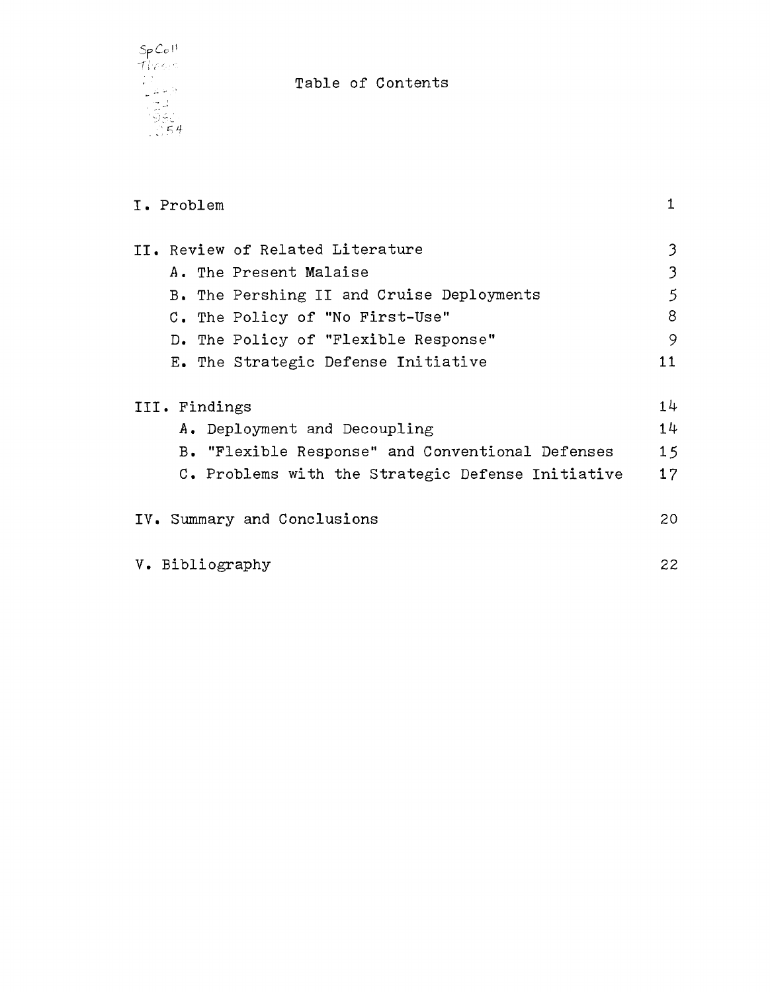

Table of Contents

| I. Problem                                        | 1               |
|---------------------------------------------------|-----------------|
| II. Review of Related Literature                  | 3               |
| A. The Present Malaise                            | 3               |
| B. The Pershing II and Cruise Deployments         | 5               |
| C. The Policy of "No First-Use"                   | 8               |
| D. The Policy of "Flexible Response"              | 9               |
| E. The Strategic Defense Initiative               | 11              |
| III. Findings                                     | 14              |
| A. Deployment and Decoupling                      | 14              |
| B. "Flexible Response" and Conventional Defenses  | 15              |
| C. Problems with the Strategic Defense Initiative | 17              |
| IV. Summary and Conclusions                       | 20              |
| V. Bibliography                                   | 22 <sub>2</sub> |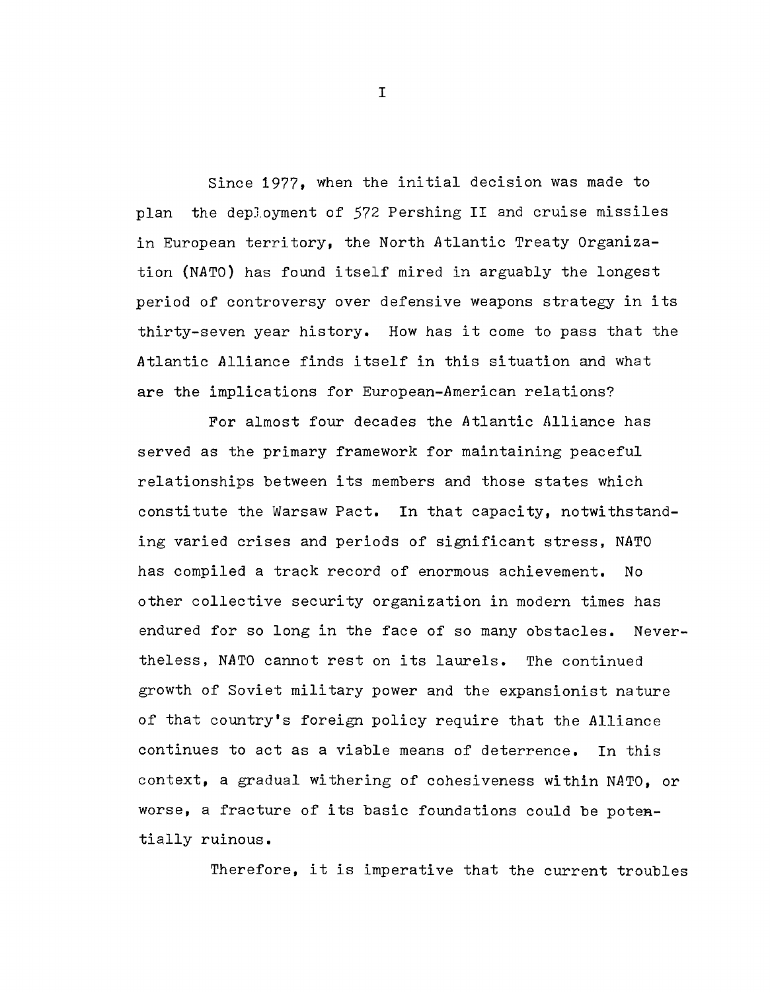Since 1977, when the initial decision was made to plan the deployment of 572 Pershing II and cruise missiles in European territory, the North Atlantic Treaty Organization (NATO) has found itself mired in arguably the longest period of controversy over defensive weapons strategy in its thirty-seven year history. How has it come to pass that the Atlantic Alliance finds itself in this situation and what are the implications for European-American relations?

For almost four decades the Atlantic Alliance has served as the primary framework for maintaining peaceful relationships between its members and those states which constitute the Warsaw Pact. In that capacity, notwithstanding varied crises and periods of significant stress, NATO has compiled a track record of enormous achievement. No other collective security organization in modern times has endured for so long in the face of so many obstacles. Nevertheless, NATO cannot rest on its laurels. The continued growth of Soviet military power and the expansionist nature of that country's foreign policy require that the Alliance continues to act as a viable means of deterrence. In this context, a gradual withering of cohesiveness within NATO, or worse, a fracture of its basic foundations could be potentially ruinous.

Therefore, it is imperative that the current troubles

I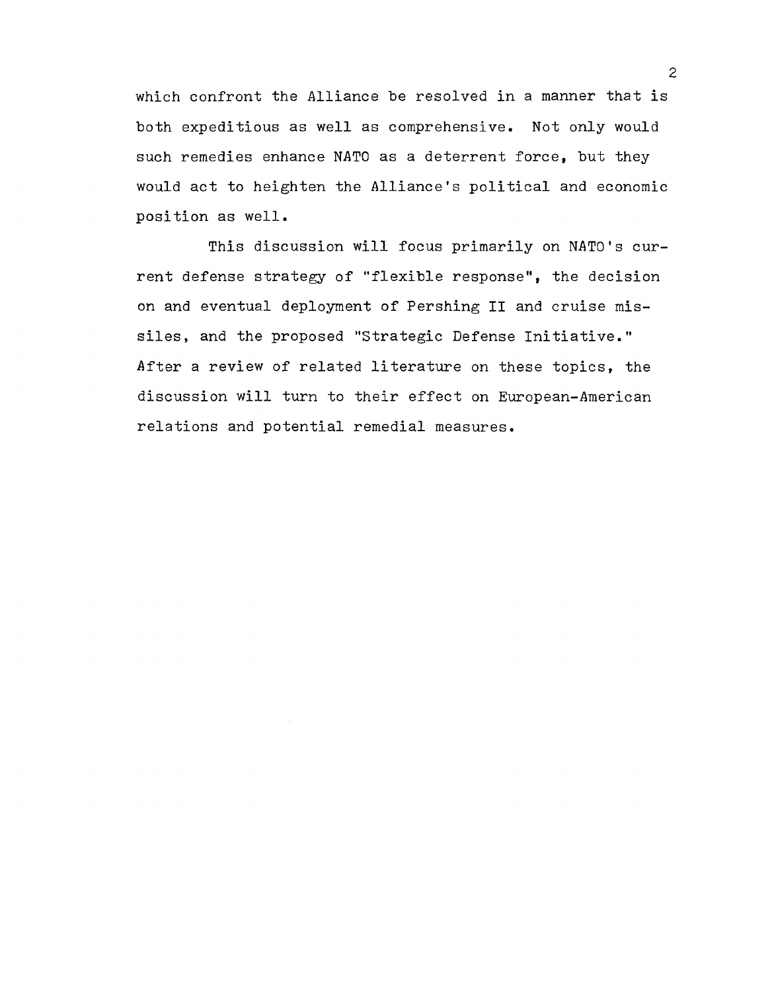which confront the Alliance be resolved in a manner that is both expeditious as well as comprehensive. Not only would such remedies enhance NATO as a deterrent force, but they would act to heighten the Alliance's political and economic position as well.

This discussion will focus primarily on NATO's current defense strategy of "flexible response", the decision on and eventual deployment of Pershing II and cruise missiles, and the proposed "Strategic Defense Initiative." After a review of related literature on these topics, the discussion will turn to their effect on European-American relations and potential remedial measures.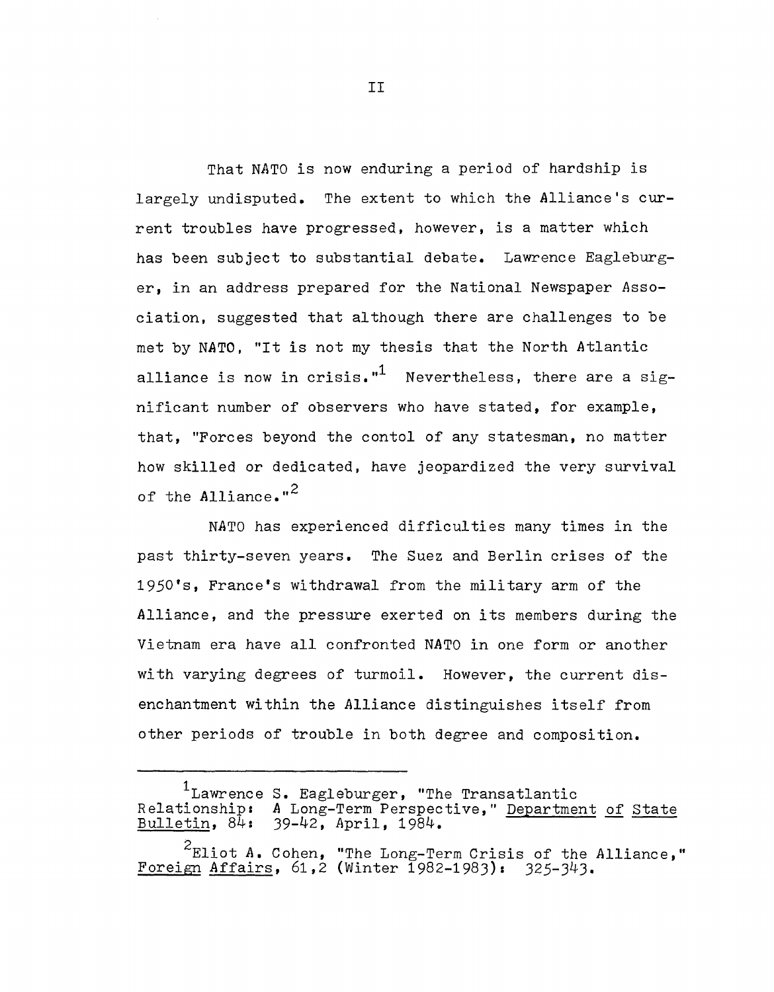That NATO is now enduring a period of hardship is largely undisputed. The extent to which the Alliance's current troubles have progressed, however, is a matter which has been subject to substantial debate. Lawrence Eagleburger, in an address prepared for the National Newspaper Association, suggested that although there are challenges to be met by NATO, "It is not my thesis that the North Atlantic alliance is now in crisis."<sup>1</sup> Nevertheless, there are a significant number of observers who have stated, for example, that, "Forces beyond the contol of any statesman, no matter how skilled or dedicated, have jeopardized the very survival of the Alliance."<sup>2</sup>

NATO has experienced difficulties many times in the past thirty-seven years. The Suez and Berlin crises of the 1950's, France's withdrawal from the military arm of the Alliance, and the pressure exerted on its members during the Vietnam era have all confronted NATO in one form or another with varying degrees of turmoil. However, the current disenchantment within the Alliance distinguishes itself from other periods of trouble in both degree and composition.

II

<sup>&</sup>lt;sup>1</sup>Lawrence S. Eagleburger, "The Transatlantic Relationship: A Long-Term Perspective," Department of State Bulletin,  $8\bar{4}$ : 39-42, April, 1984.

<sup>2</sup>Eliot *A.* Cohen, "The Long-Term Crisis of the Alliance," Foreign Affairs, 61,2 (Winter 1982-1983): 325-343.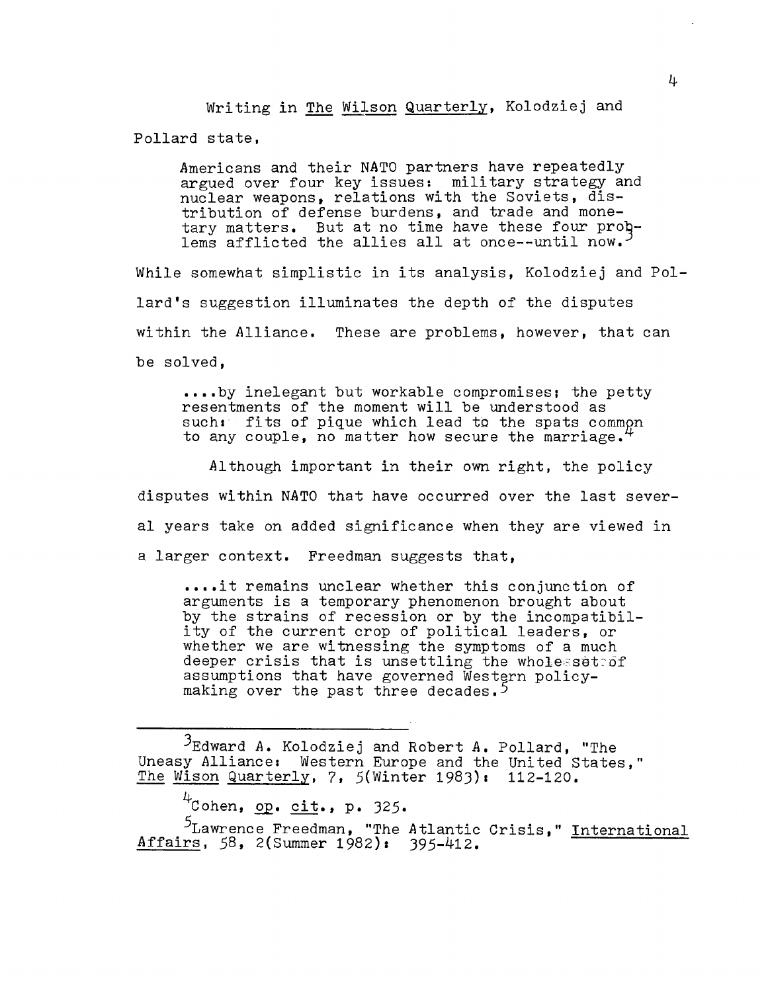Writing in The Wilson Quarterly, Kolodziej and Pollard state,

Americans and their NATO partners have repeatedly argued over four key issues: military strategy and nuclear weapons, relations with the Soviets, distribution of defense burdens, and trade and monetary matters. But at no time have these four  $proj$ lems afflicted the allies all at once--until now.<sup>3</sup>

While somewhat simplistic in its analysis, Kolodziej and Pollard's suggestion illuminates the depth of the disputes within the Alliance. These are problems, however, that can be solved,

•••• by inelegant but workable compromises; the petty resentments of the moment will be understood as  $such:$  fits of pique which lead to the spats common to any couple, no matter how secure the marriage.

Although important in their own right, the policy disputes within NATO that have occurred over the last several years take on added significance when they are viewed in a larger context. Freedman suggests that,

•••• it remains unclear whether this conjunction of arguments is a temporary phenomenon brought about by the strains of recession or by the incompatibility of the current crop of political leaders, or whether we are witnessing the symptoms of a much deeper crisis that is unsettling the wholesseteof assumptions that have governed Western policymaking over the past three decades.<sup>5</sup>

 $\beta$ Edward A. Kolodziej and Robert A. Pollard, "The Uneasy Alliance: Western Europe and the United States," The Wison Quarterly, 7, 5(Winter 1983): 112-120.

4<sub>Cohen, op. cit., p. 325.</sub>

<sup>5</sup>Lawrence Freedman, "The Atlantic Crisis," International Affairs, 58, 2(Summer 1982): 395-412.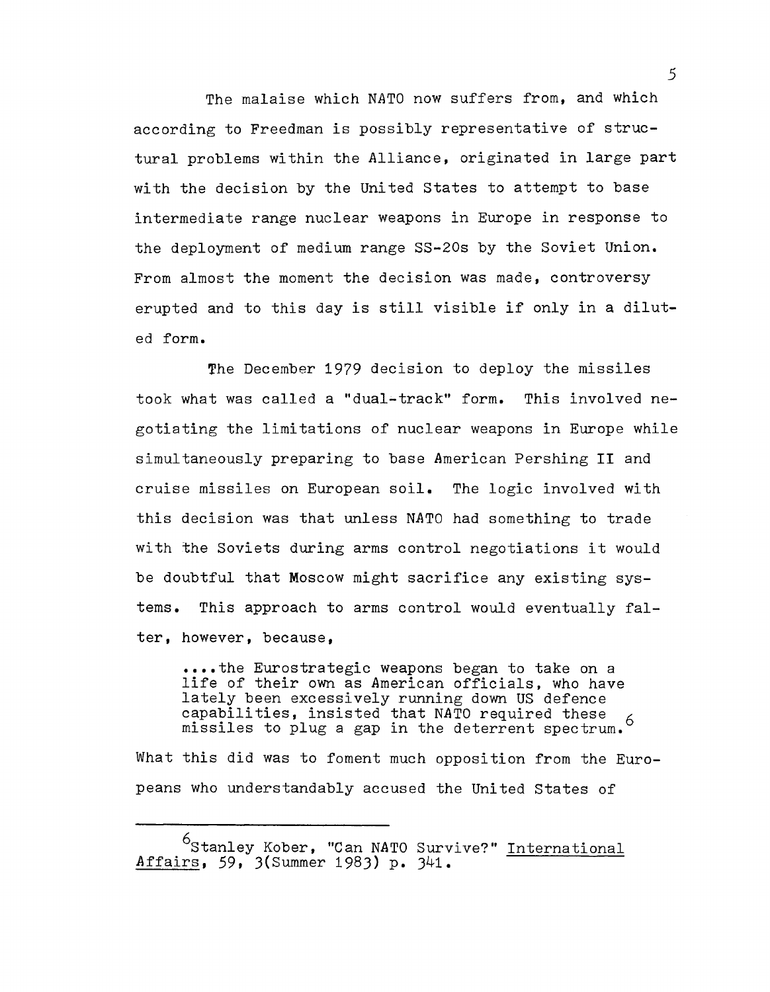The malaise which NATO now suffers from, and which according to Freedman is possibly representative of structural problems within the Alliance, originated in large part with the decision by the United states to attempt to base intermediate range nuclear weapons in Europe in response to the deployment of medium range SS-20s by the Soviet Union. From almost the moment the decision was made, controversy erupted and to this day is still visible if only in a diluted form.

The December 1979 decision to deploy the missiles took what was called a "dual-track" form. This involved negotiating the limitations of nuclear weapons in Europe while simultaneously preparing to base American Pershing **II** and cruise missiles on European soil. The logic involved with this decision was that unless NATO had something to trade with the Soviets during arms control negotiations it would be doubtful that Moscow might sacrifice any existing systems. This approach to arms control would eventually falter, however, because,

**•••• the** Eurostrategic weapons began to take on a life of their own as American officials, who have lately been excessively running down US defence capabilities, insisted that NATO required these 6 missiles to plug a gap in the deterrent spectrum.<sup>6</sup>

What this did was to foment much opposition from the Europeans who understandably accused the United States of

<sup>&</sup>lt;sup>6</sup>Stanley Kober, "Can NATO Survive?" International Affairs, 59, 3(Summer 1983) **p.** 341.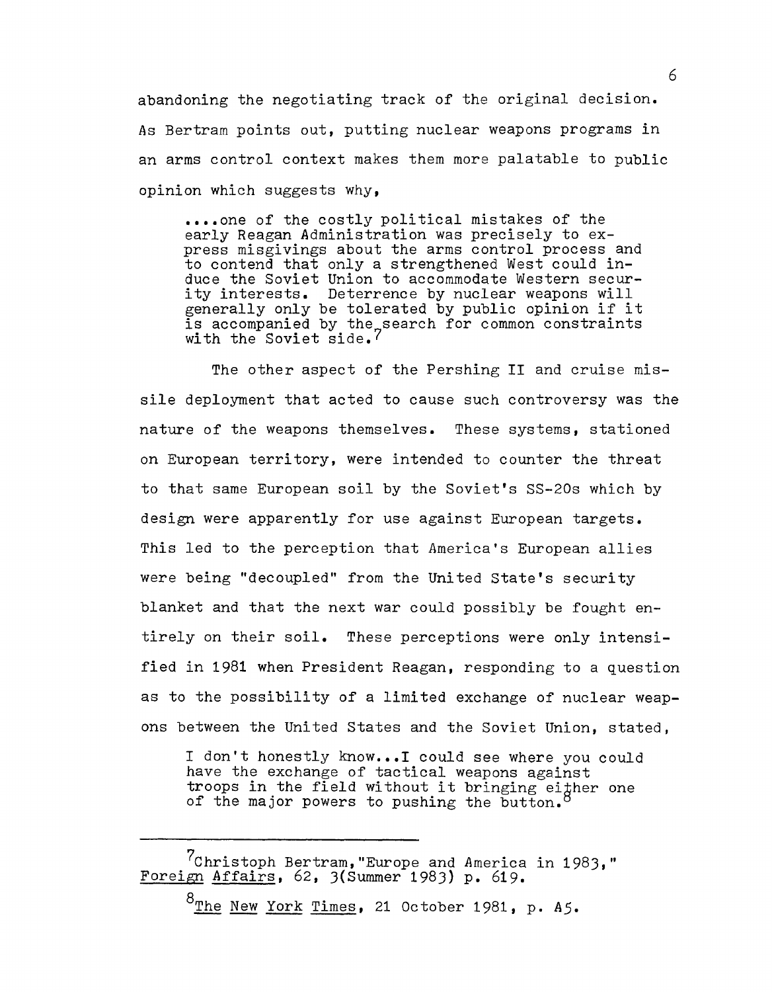abandoning the negotiating track of the original decision. As Bertram points out, putting nuclear weapons programs in an arms control context makes them more palatable to public opinion which suggests why,

•••• one of the costly political mistakes of the early Reagan Administration was precisely to express misgivings about the arms control process and to contend that only a strengthened West could induce the Soviet Union to accommodate Western security interests. Deterrence by nuclear weapons will generally only be tolerated by public opinion if it is accompanied by the search for common constraints with the Soviet side.<sup>7</sup>

The other aspect of the Pershing II and cruise missile deployment that acted to cause such controversy was the nature of the weapons themselves. These systems, stationed on European territory, were intended to counter the threat to that same European soil by the Soviet's SS-20s which by design were apparently for use against European targets. This led to the perception that America's European allies were being "decoupled" from the United State's security blanket and that the next war could possibly be fought entirely on their soil. These perceptions were only intensified in 1981 when President Reagan, responding to a question as to the possibility of a limited exchange of nuclear weapons between the United States and the Soviet Union, stated,

I don't honestly know...I could see where you could have the exchange of tactical weapons against troops in the field without it bringing eigher one of the major powers to pushing the button.

? Christoph Bertram, "Europe and America in 1983," Foreign Affairs, 62, 3(Summer 1983) p. 619.

8The New York Times, 21 October 1981, p. *A5.*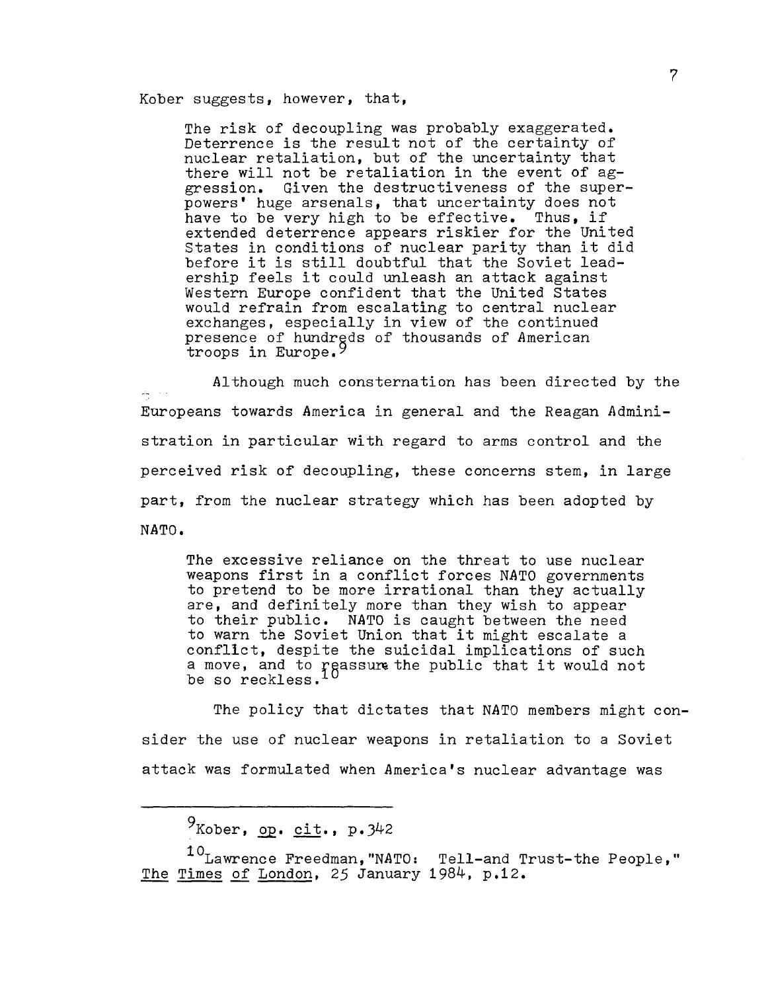Kober suggests, however, that,

The risk of decoupling was probably exaggerated. Deterrence is the result not of the certainty of nuclear retaliation, but of the uncertainty that there will not be retaliation in the event of aggression. Given the destructiveness of the super- powers' huge arsenals, that uncertainty does not have to be very high to be effective. Thus, if extended deterrence appears riskier for the United states in conditions of nuclear parity than it did before it is still doubtful that the Soviet leadership feels it could unleash an attack against Western Europe confident that the United States would refrain from escalating to central nuclear exchanges, especially in view of the continued presence of hundrgds of thousands of American troops in Europe.<sup>9</sup>

Although much consternation has been directed by the Europeans towards America in general and the Reagan Administration in particular with regard to arms control and the perceived risk of decoupling, these concerns stem, in large part, from the nuclear strategy which has been adopted by NATO.

The excessive reliance on the threat to use nuclear weapons first in a conflict forces NATO governments to pretend to be more irrational than they actually are, and definitely more than they wish to appear to their public. NATO is caught between the need to their public. NATO is caught between the need<br>to warn the Soviet Union that it might escalate a conflIct, despite the suicidal implications of such confiret, despite the suicidal implications of such<br>a move, and to reassure the public that it would not be so reckless.

The policy that dictates that *NATO* members might consider the use of nuclear weapons in retaliation to a Soviet attack was formulated when America's nuclear advantage was

 $9$ Kober, op. cit., p. 342

10 Lawrence Freedman, "NATO: Tell-and Trust-the People," The Times of London, 25 January 1984, p.12.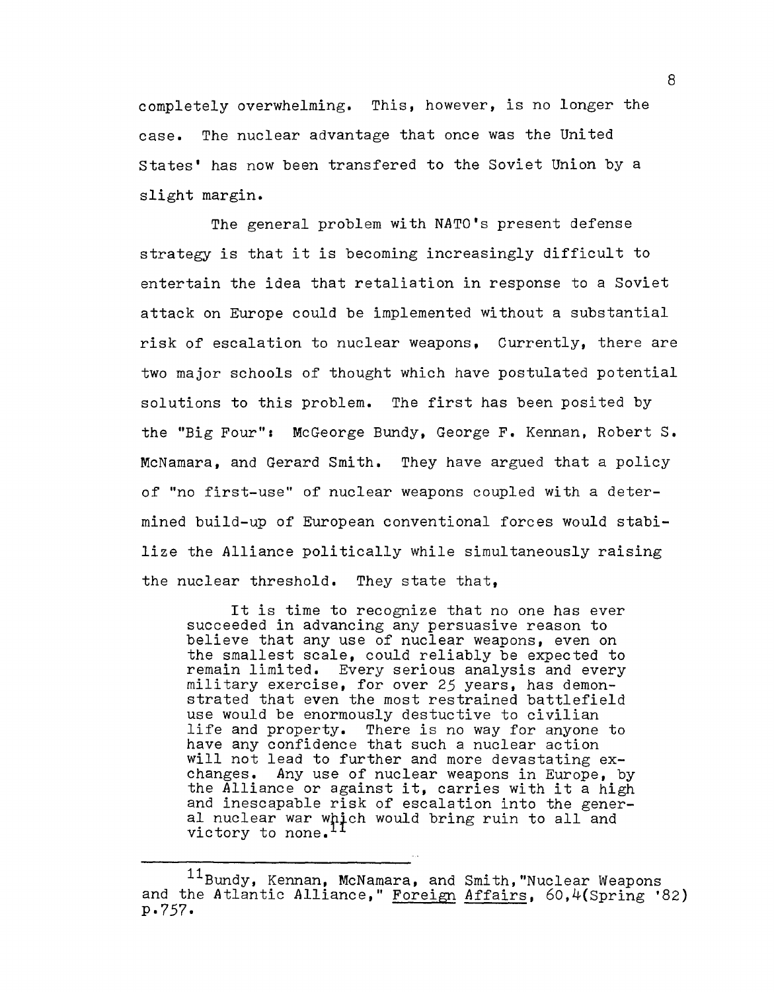completely overwhelming. This, however, is no longer the case. The nuclear advantage that once was the United states' has now been transfered to the Soviet Union by a slight margin.

The general problem with NATO's present defense strategy is that it is becoming increasingly difficult to entertain the idea that retaliation in response to a Soviet attack on Europe could be implemented without a substantial risk of escalation to nuclear weapons, Currently, there are two major schools of thought which have postulated potential solutions to this problem. The first has been posited by the "Big Four": McGeorge Bundy, George **F.** Kennan, Robert S. McNamara, and Gerard Smith. They have argued that a policy of "no first-use" of nuclear weapons coupled with a determined build-up of European conventional forces would stabilize the Alliance politically while simultaneously raising the nuclear threshold. They state that,

It is time to recognize that no one has ever succeeded in advancing any persuasive reason to believe that any use of nuclear weapons, even on the smallest scale, could reliably be expected to remain limited. Every serious analysis and every military exercise, for over 25 years, has demonstrated that even the most restrained battlefield use would be enormously destuctive to civilian<br>life and property. There is no way for anyone There is no way for anyone to arre and property. There is no may ref anyone will not lead to further and more devastating exchanges. Any use of nuclear weapons in Europe, by the Alliance or against it, carries with it a high and inescapable risk of escalation into the generand incredigative first of escalation first one general<br>al nuclear war which would bring ruin to all and victory to none.

<sup>11</sup> Bundy, Kennan, McNamara, and Smith, "Nuclear Weapons and the Atlantic Alliance," Foreign Affairs, 60,4(Spring '82) p.757.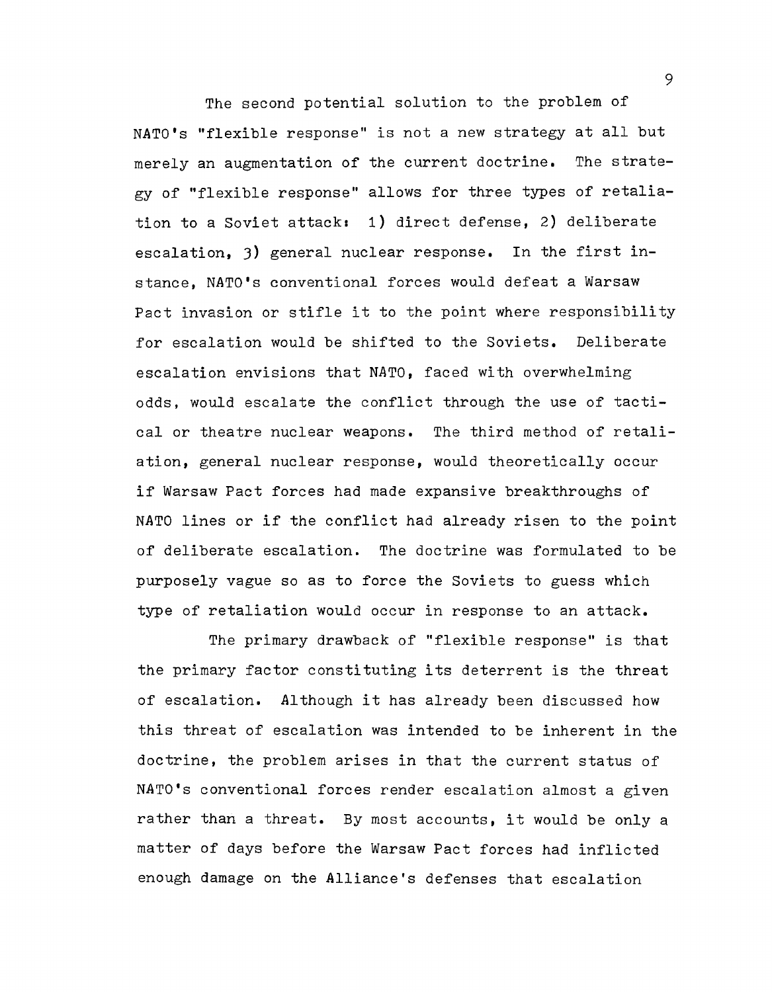The second potential solution to the problem of NATO's "flexible response" is not a new strategy at all but merely an augmentation of the current doctrine. The strategy of "flexible response" allows for three types of retaliation to a Soviet attack: 1) direct defense, 2) deliberate escalation. 3) general nuclear response. In the first instance, NATO's conventional forces would defeat a Warsaw Pact invasion or stifle it to the point where responsibility for escalation would be shifted to the Soviets. Deliberate escalation envisions that NATO. faced with overwhelming odds, would escalate the conflict through the use of tactical or theatre nuclear weapons. The third method of retaliation, general nuclear response, would theoretically occur if Warsaw Pact forces had made expansive breakthroughs of NATO lines or if the conflict had already risen to the point of deliberate escalation. The doctrine was formulated to be purposely vague so as to force the Soviets to guess which type of retaliation would occur in response to an attack.

The primary drawback of "flexible response" is that the primary factor constituting its deterrent is the threat of escalation. Although it has already been discussed how this threat of escalation was intended to be inherent in the doctrine, the problem arises in that the current status of NATO's conventional forces render escalation almost a given rather than a threat. By most accounts, it would be only a matter of days before the Warsaw Pact forces had inflicted enough damage on the Alliance's defenses that escalation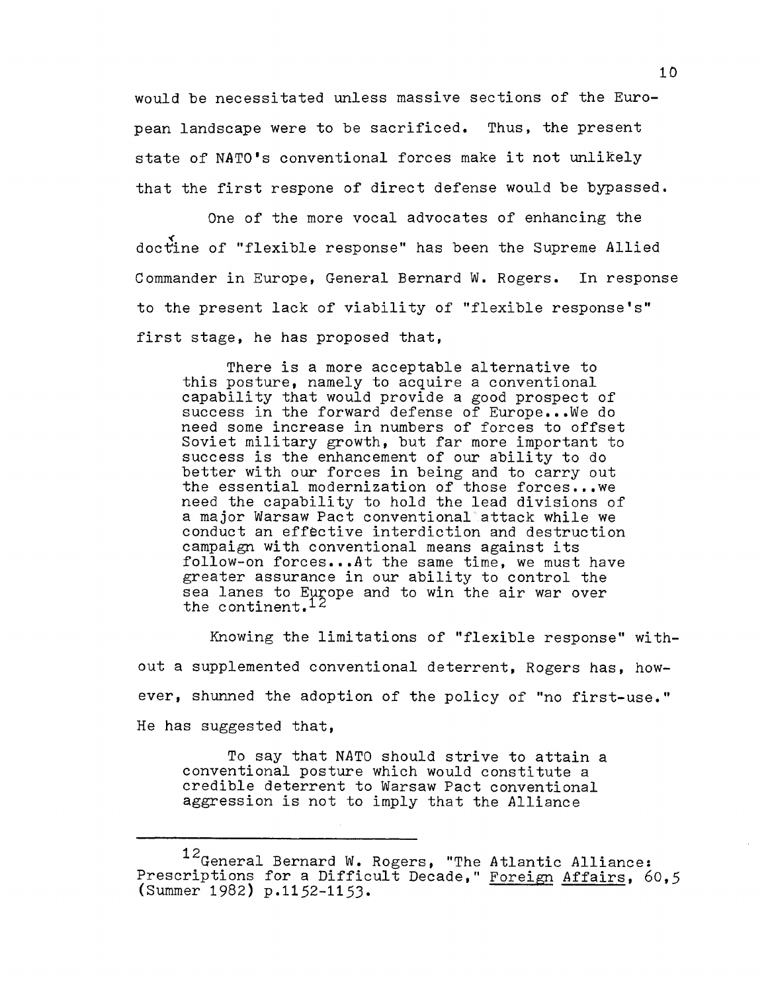would be necessitated unless massive sections of the European landscape were to be sacrificed. Thus, the present state of NATO's conventional forces make it not unlikely that the first respone of direct defense would be bypassed.

One of the more vocal advocates of enhancing the doctine of "flexible response" has been the Supreme Allied Commander in Europe, General Bernard W. Rogers. In response to the present lack of viability of "flexible response's" first stage, he has proposed that,

There is a more acceptable alternative to this posture, namely to acquire a conventional capability that would provide a good prospect of success in the forward defense of Europe... We do need some increase in numbers of forces to offset Soviet military growth, but far more important to success is the enhancement of our ability to do better with our forces in being and to carry out the essential modernization of those forces .•• we need the capability to hold the lead divisions of a major Warsaw Pact conventional attack while we conduct an effective interdiction and destruction campaign with conventional means against its follow-on forces...At the same time, we must have greater assurance in our ability to control the sea lanes to Europe and to win the air war over the continent.  $12$ 

Knowing the limitations of "flexible response" without a supplemented conventional deterrent, Rogers has, however, shunned the adoption of the policy of "no first-use." He has suggested that,

To say that NATO should strive to attain a conventional posture which would constitute a credible deterrent to Warsaw Pact conventional aggression is not to imply that the Alliance

<sup>12&</sup>lt;sub>General</sub> Bernard W. Rogers, "The Atlantic Alliance; Prescriptions for a Difficult Decade," Foreign Affairs, 60,5 (Summer 1982) p.1152-115J.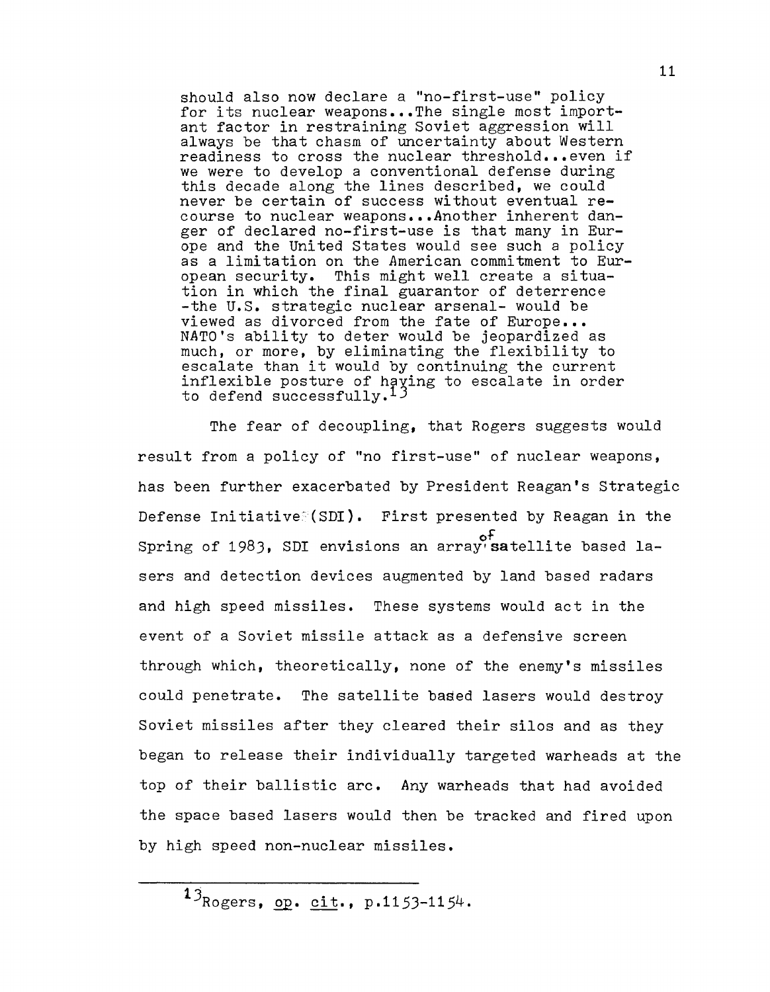should also now declare a "no-first-use" policy for its nuclear weapons...The single most important factor in restraining Soviet aggression will always be that chasm of uncertainty about Western readiness to cross the nuclear threshold...even if we were to develop a conventional defense during this decade along the lines described, we could never be certain of success without eventual recourse to nuclear weapons ••• Another inherent danger of declared no-first-use is that many in Europe and the United States would see such a policy as a limitation on the American commitment to European security. This might well create a situation in which the final guarantor of deterrence -the U.S. strategic nuclear arsenal- would be viewed as divorced from the fate of Europe... NATO's ability to deter would be jeopardized as much, or more, by eliminating the flexibility to escalate than it would by continuing the current inflexible posture of having to escalate in order to defend successfully.<sup>13</sup>

The fear of decoupling, that Rogers suggests would result from a policy of "no first-use" of nuclear weapons, has been further exacerbated by President Reagan's Strategic Defense Initiative $\leq$ (SDI). First presented by Reagan in the of Spring of 1983, SDI envisions an array'satellite based lasers and detection devices augmented by land based radars and high speed missiles. These systems would act in the event of a Soviet missile attack as a defensive screen through which, theoretically, none of the enemy's missiles could penetrate. The satellite based lasers would destroy Soviet missiles after they cleared their silos and as they began to release their individually targeted warheads at the top of their ballistic arc. Any warheads that had avoided the space based lasers would then be tracked and fired upon by high speed non-nuclear missiles.

 $13_{Rogers, op. cit.}$ , p.1153-1154.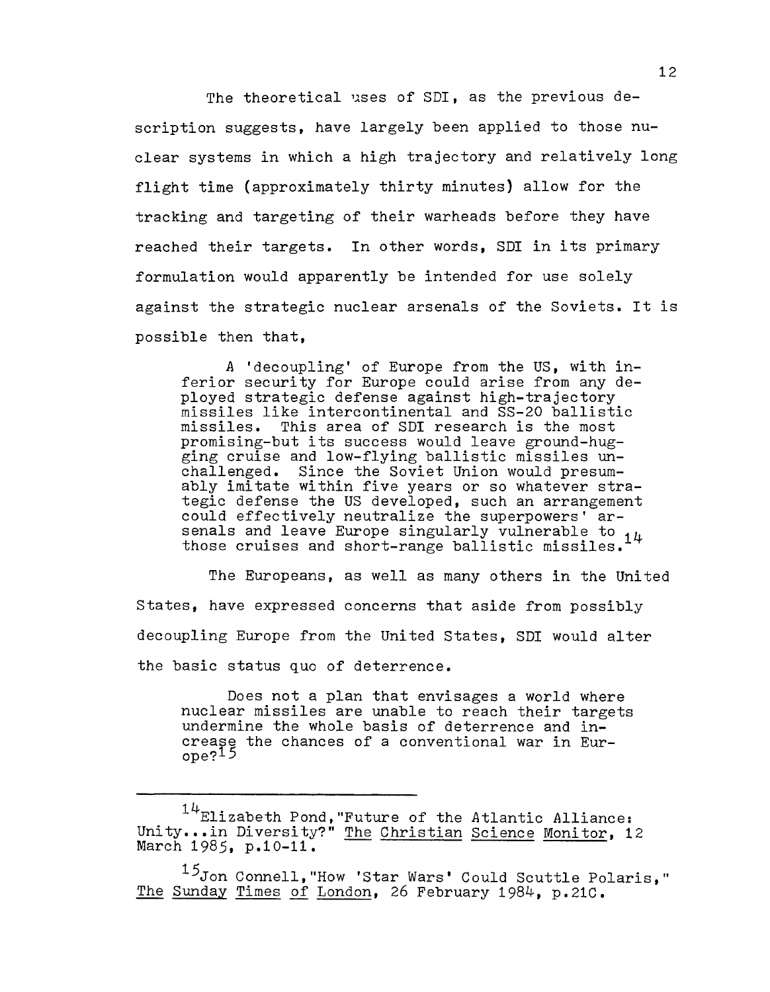The theoretical uses of SDI, as the previous description suggests, have largely been applied to those nuclear systems in which a high trajectory and relatively long flight time (approximately thirty minutes) allow for the tracking and targeting of their warheads before they have reached their targets. In other words, SDI in its primary formulation would apparently be intended for use solely against the strategic nuclear arsenals of the Soviets. It is possible then that,

A 'decoupling' of Europe from the US, with inferior security for Europe could arise from any deployed strategic defense against high-trajectory missiles like intercontinental and SS-20 ballistic missiles. This area of SDI research is the most promising-but its success would leave ground-hugging cruise and low-flying ballistic missiles unchallenged. Since the Soviet Union would presumably imitate within five years or so whatever strategic defense the US developed, such an arrangement could effectively neutralize the superpowers' arsenals and leave Europe singularly vulnerable to 14 those cruises and short-range ballistic missiles.

The Europeans, as well as many others in the United States, have expressed concerns that aside from possibly decoupling Europe from the United States, SDI would alter the basic status quo of deterrence.

Does not a plan that envisages a world where nuclear missiles are unable to reach their targets undermine the whole basis of deterrence and increase the chances of a conventional war in Europe?<sup>15</sup>

<sup>&</sup>lt;sup>14</sup>Elizabeth Pond, "Future of the Atlantic Alliance: Unity... In Diversity?" The Christian Science Monitor, 12 March 1985, p.10-11.

<sup>15</sup>Jon Connell, "How 'Star Wars' Could Scuttle Polaris," The Sunday Times of London, 26 February 1984, p.21C.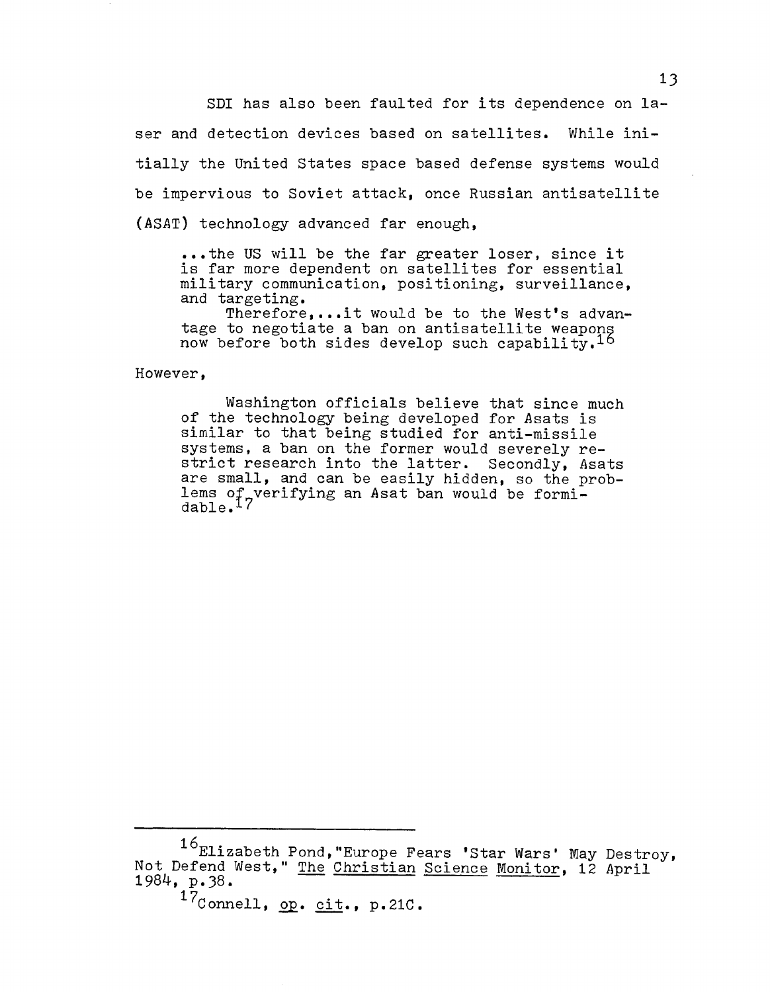SDI has also been faulted for its dependence on laser and detection devices based on satellites. While initially the United states space based defense systems would be impervious to Soviet attack. once Russian antisatellite (ASAT) technology advanced far enough •

...the US will be the far greater loser, since it is far more dependent on satellites for essential military communication. positioning. surveillance. and targeting.

Therefore,...it would be to the West's advantage to negotiate a ban on antisatellite weapons now before both sides develop such capability.  $16$ 

However.

Washington officials believe that since much of the technology being developed for Asats is similar to that being studied for anti-missile systems, a ban on the former would severely restrict research into the latter. Secondly, Asats are small, and can be easily hidden, so the problems of verifying an Asat ban would be formi- $\frac{1}{\text{dable}}$ .  $17$ 

<sup>16</sup>Elizabeth Pond, "Europe Fears 'Star Wars' May Destroy, Not Defend West," The Christian Science Monitor, 12 April 1984, p.38.

 $17$ Connell, op. cit., p.21C.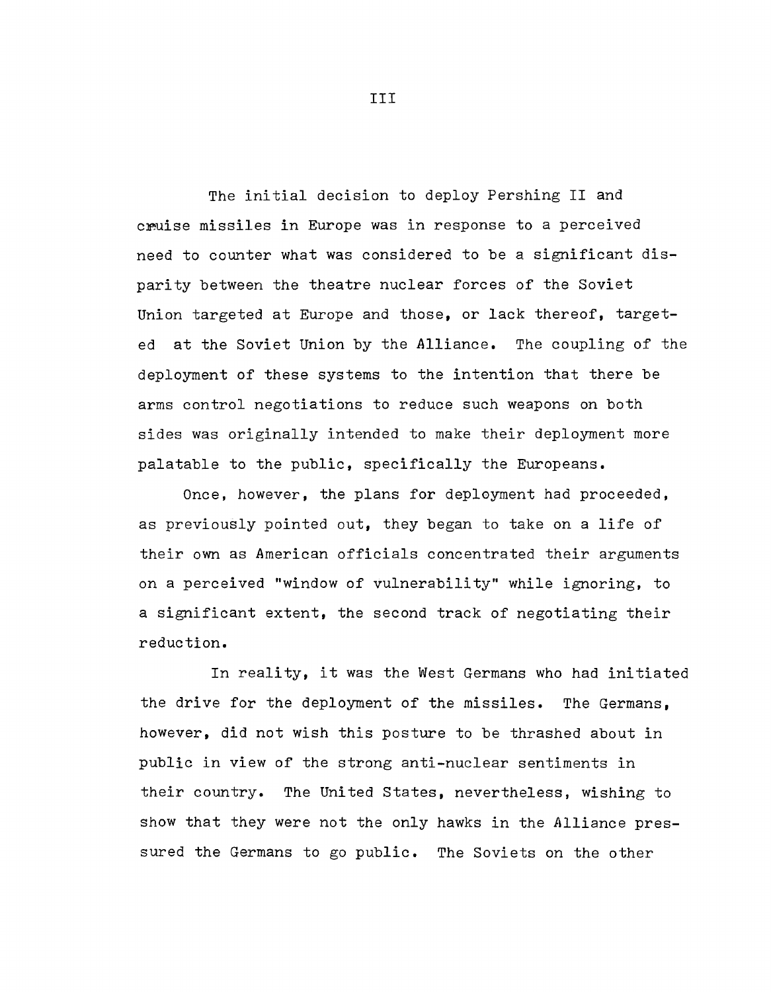The initial decision to deploy Pershing II and cruise missiles in Europe was in response to a perceived need to counter what was considered to be a significant disparity between the theatre nuclear forces of the Soviet Union targeted at Europe and those, or lack thereof, targeted at the Soviet Union by the Alliance. The coupling of the deployment of these systems to the intention that there be arms control negotiations to reduce such weapons on both sides was originally intended to make their deployment more palatable to the public, specifically the Europeans.

Once, however, the plans for deployment had proceeded, as previously pointed out, they began to take on a life of their own as American officials concentrated their arguments on a perceived "window of vulnerability" while ignoring, to a significant extent, the second track of negotiating their reduction.

In reality, it was the West Germans who had initiated the drive for the deployment of the missiles. The Germans, however, did not wish this posture to be thrashed about in public in view of the strong anti-nuclear sentiments in their country. The United States, nevertheless, wishing to show that they were not the only hawks in the Alliance pressured the Germans to go public. The Soviets on the other

III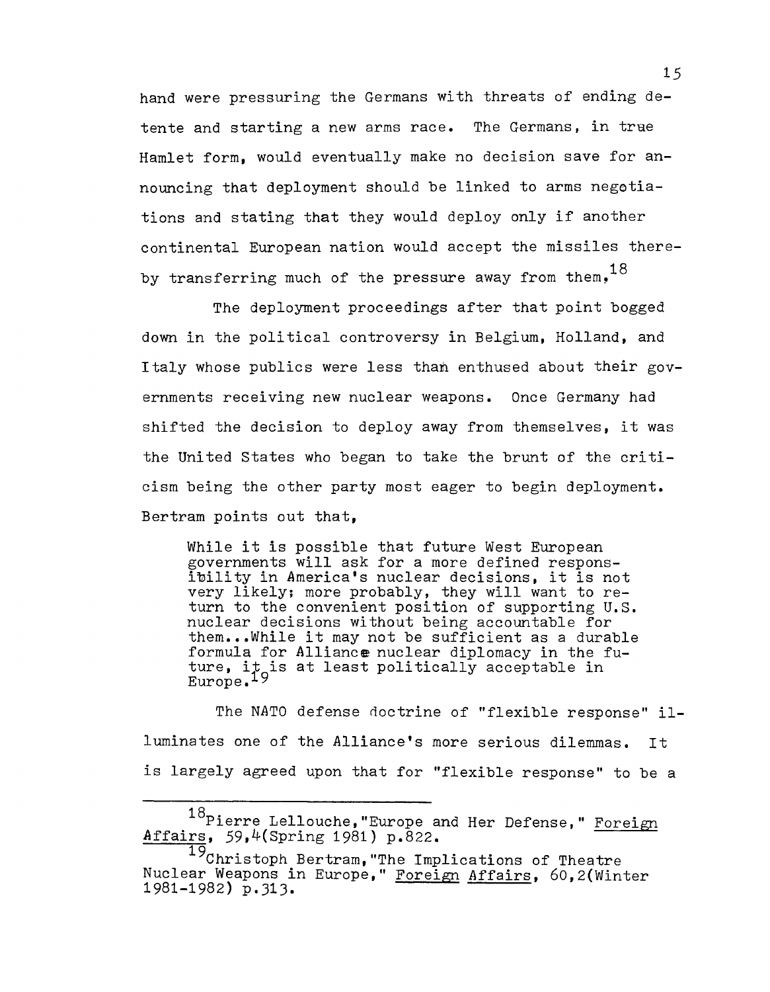hand were pressuring the Germans with threats of ending detente and starting a new arms race. The Germans, in trae Hamlet form, would eventually make no decision save for announcing that deployment should be linked to arms negetiations and stating that they would deploy only if another continental European nation would accept the missiles thereby transferring much of the pressure away from them.<sup>18</sup>

The deployment proceedings after that point bogged down in the political controversy in Belgium, Holland, and Italy whose publics were less than enthused about their governments receiving new nuclear weapons. Once Germany had shifted the decision to deploy away from themselves, it was the United states who began to take the brunt of the criticism being the other party most eager to begin deployment. Bertram points out that,

While it is possible that future West European governments will ask for a more defined respons ibility in America's nuclear decisions, it is not very likely; more probably, they will want to return to the convenient position of supporting U.S. nuclear decisions without being accountable for them...While it may not be sufficient as a durable formula for Alliance nuclear diplomacy in the future, it is at least politically acceptable in<br>Europe.<sup>19</sup>  $Europe.$ <sup>19</sup>

The NATO defense doctrine of "flexible response" illuminates one of the Alliance's more serious dilemmas. It is largely agreed upon that for "flexible response" to be a

<sup>18</sup> Pierre Lellouche, "Europe and Her Defense," Foreign Affairs, 59,4(Spring 1981) p.822.

<sup>19</sup>Christoph Bertram, "The Implications of Theatre Nuclear Weapons in Europe," Foreign Affairs, 60,2(Winter 1981-1982) p.313.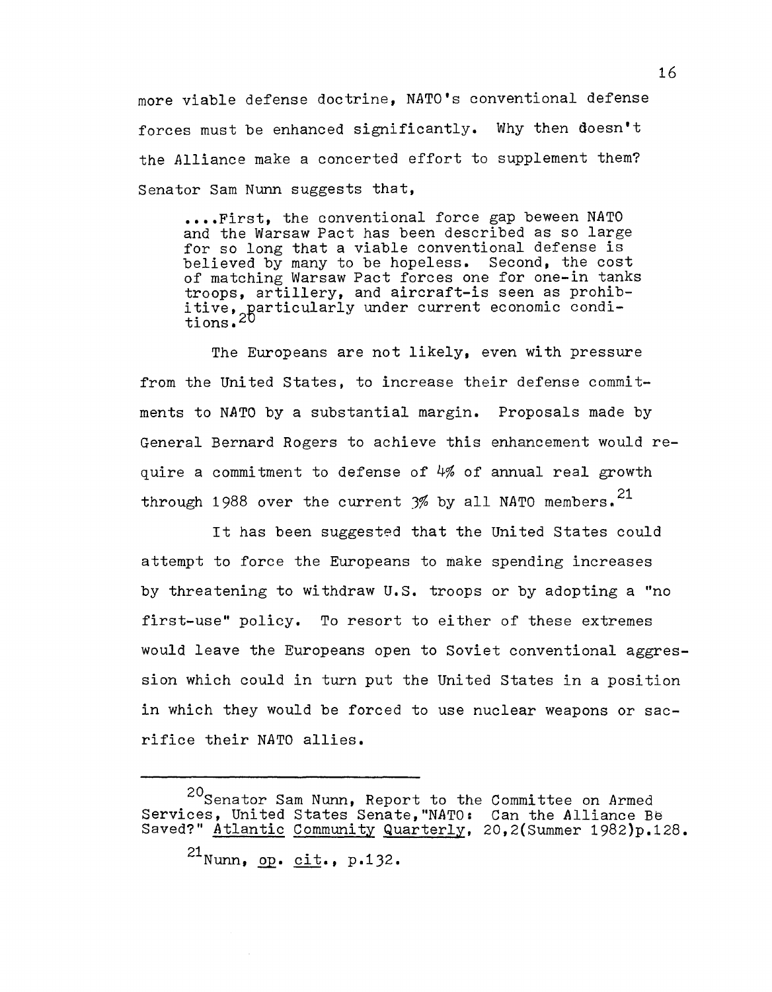more viable defense doctrine, NATO's conventional defense forces must be enhanced significantly. Why then doesn't the Alliance make a concerted effort to supplement them? Senator Sam Nunn suggests that,

**•.•. First,** the conventional force gap beween NATO and the Warsaw Pact has been described as so large for so long that a viable conventional defense is believed by many to be hopeless. Second, the cost of matching Warsaw Pact forces one for one-in tanks troops, artillery, and aircraft-is seen as prohibdive, particularly und directive to soon as premistive, particularly under current economic conditions. 2D

The Europeans are not likely, even with pressure from the United States, to increase their defense commitments to NATO by a substantial margin. Proposals made by General Bernard Rogers to achieve this enhancement would require a commitment to defense of 4% of annual real growth through 1988 over the current  $3%$  by all NATO members.<sup>21</sup>

It has been suggested that the United States could attempt to force the Europeans to make spending increases by threatening to withdraw **U.S.** troops or by adopting a "no first-use" policy. To resort to either of these extremes would leave the Europeans open to Soviet conventional aggression which could in turn put the United States in a position in which they would be forced to use nuclear weapons or sacrifice their NATO allies.

20 Senator Sam Nunn, Report to the Committee on Armed Services, United States Senate, "NATO: Can the Alliance Be Saved?" Atlantic Community Quarterly, 20,2(Summer 1982)p.128. 21 Nunn, **Q2. cit.,** p.132.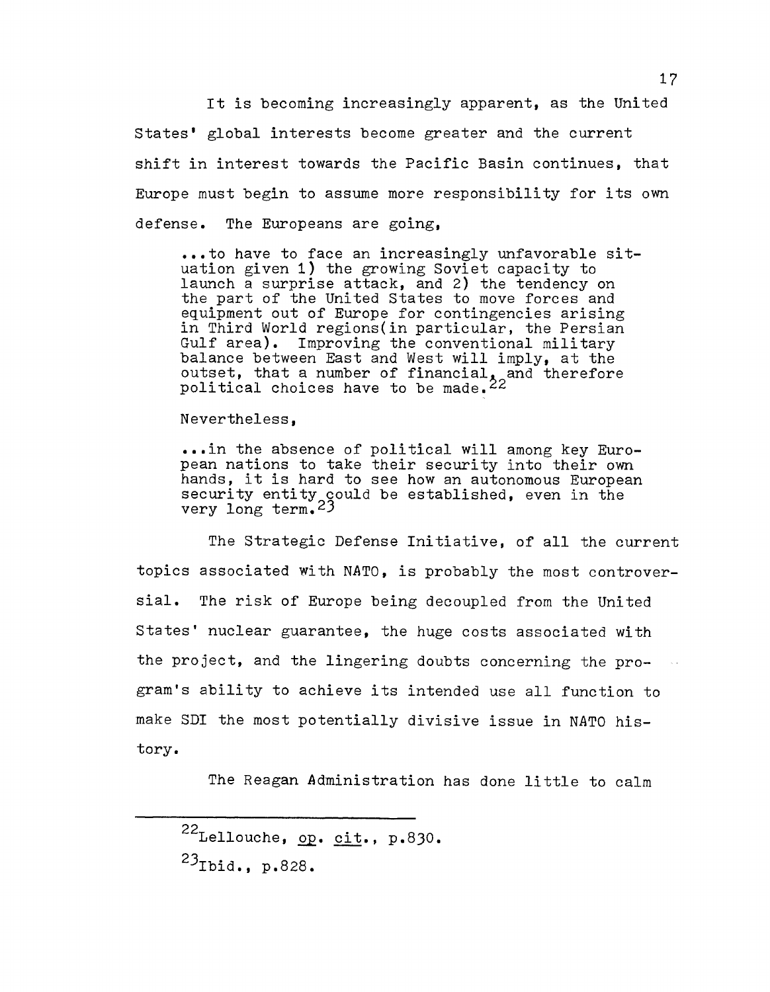It is becoming increasingly apparent, as the United States' global interests become greater and the current shift in interest towards the Pacific Basin continues, that Europe must begin to assume more responsibility for its own defense. The Europeans are going,

••• to have to face an increasingly unfavorable situation given 1) the growing Soviet capacity to launch a surprise attack, and 2) the tendency on the part of the United States to move forces and equipment out of Europe for contingencies arising in Third World regions(in particular, the Persian Gulf area). Improving the conventional military balance between East and West will imply, at the outset, that a number of financial $\chi$  and therefore political choices have to be made. $22^\circ$ 

Nevertheless,

••• in the absence of political will among key European nations to take their security into their own<br>hands, it is hard to see how an autonomous European pean nations to take their security into their own<br>hands, it is hard to see how an autonomous European<br>security entity could be established, even in the  $\frac{3}{2}$  very long term.  $23$ 

The Strategic Defense Initiative, of all the current topics associated with *NATO,* is probably the most controversial. The risk of Europe being decoupled from the United States' nuclear guarantee, the huge costs associated with the project, and the lingering doubts concerning the program's ability to achieve its intended use all function to make SDI the most potentially divisive issue in *NATO* history.

The Reagan Administration has done little to calm

 $^{22}$ Lellouche, op. cit., p.830. 2JIbid., p.828.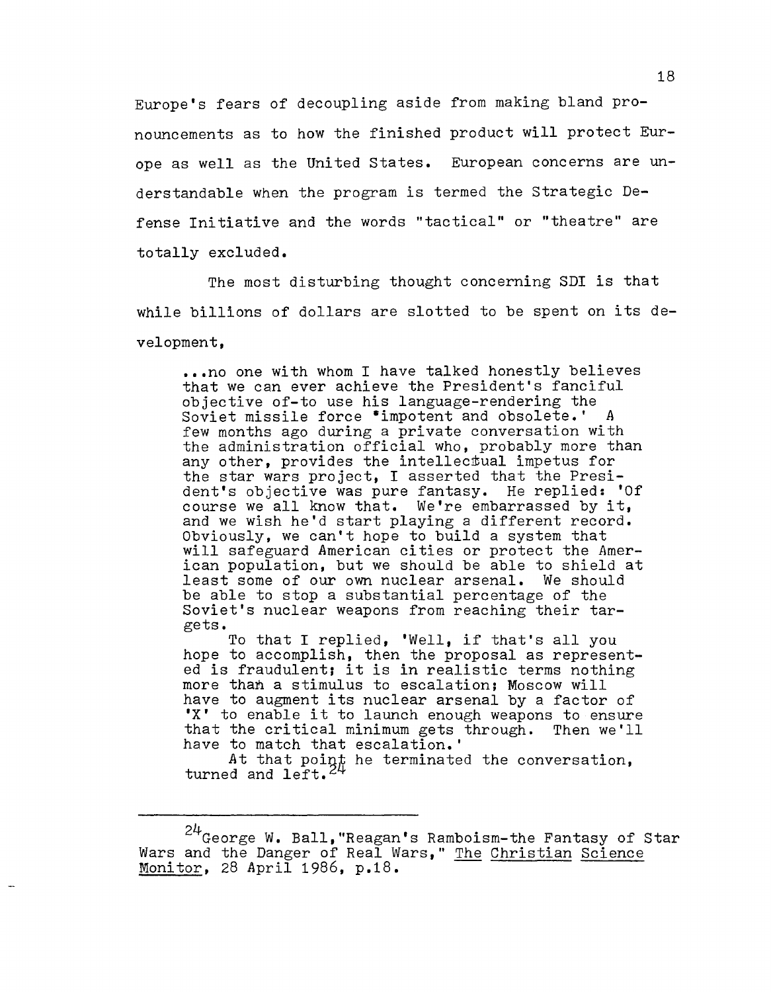Europe's fears of decoupling aside from making bland pronouncements as to how the finished product will protect Europe as well as the United States. European concerns are understandable when the program is termed the Strategic Defense Initiative and the words "tactical" or "theatre" are totally excluded.

The most disturbing thought concerning SDI is that while billions of dollars are slotted to be spent on its development,

... no one with whom I have talked honestly believes that we can ever achieve the President's fanciful objective of-to use his language-rendering the Soviet missile force \*impotent and obsolete.' A few months ago during a private conversation with the administration official who, probably more than any other, provides the intellectual impetus for the star wars project, I asserted that the President's objective was pure fantasy. He replied: 'Of course we all know that. We're embarrassed by it, and we wish he'd start playing a different record. Obviously, we can't hope to build a system that will safeguard American cities or protect the American population, but we should be able to shield at least some of our own nuclear arsenal. We should be able to stop a substantial percentage of the Soviet's nuclear weapons from reaching their targets.

To that I replied, 'Well, if that's all you hope to accomplish, then the proposal as represented is fraudulent; it is in realistic terms nothing more than a stimulus to escalation; Moscow will have to augment its nuclear arsenal by a factor of 'X' to enable it to launch enough weapons to ensure that the critical minimum gets through. Then we'll have to match that escalation.'

At that point he terminated the conversation, turned and left.

 $^{24}$ George W. Ball,"Reagan's Ramboism-the Fantasy of Star Wars and the Danger of Real Wars," The Christian Science Monitor, 28 April 1986, p.18.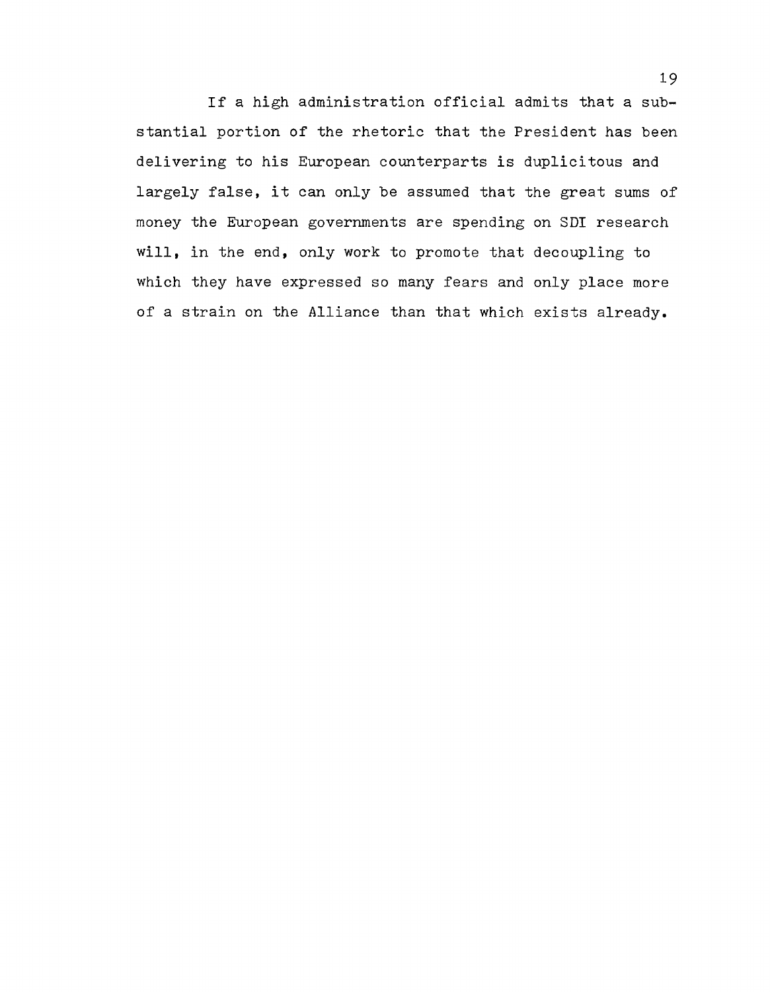If a high administration official admits that a substantial portion of the rhetoric that the President has been delivering to his European counterparts is duplicitous and largely false, it can only be assumed that the great sums of money the European governments are spending on SDI research will, in the end, only work to promote that decoupling to which they have expressed so many fears and only place more of a strain on the Alliance than that which exists already.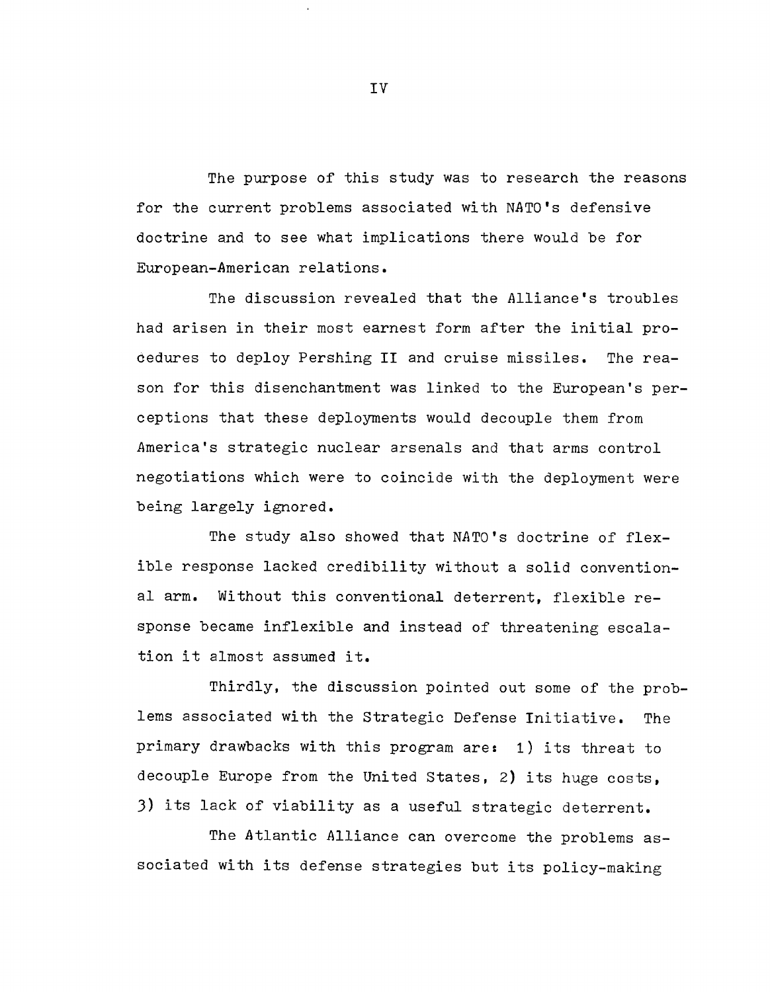The purpose of this study was to research the reasons for the current problems associated with NATO's defensive doctrine and to see what implications there would be for European-American relations.

The discussion revealed that the Alliance's troubles had arisen in their most earnest form after the initial procedures to deploy Pershing **II** and cruise missiles. The reason for this disenchantment was linked to the European's perceptions that these deployments would decouple them from America's strategic nuclear arsenals and that arms control negotiations which were to coincide with the deployment were being largely ignored.

The study also showed that NATO's doctrine of flexible response lacked credibility without a solid conventional arm. Without this conventional deterrent, flexible response became inflexible and instead of threatening escalation it almost assumed **it.** 

Thirdly, the discussion pointed out some of the problems associated with the Strategic Defense Initiative. The primary drawbacks with this program are: 1) its threat to decouple Europe from the United States, 2) its huge costs, 3) its lack of viability as a useful strategic deterrent.

The Atlantic Alliance can overcome the problems associated with its defense strategies but its policy-making

IV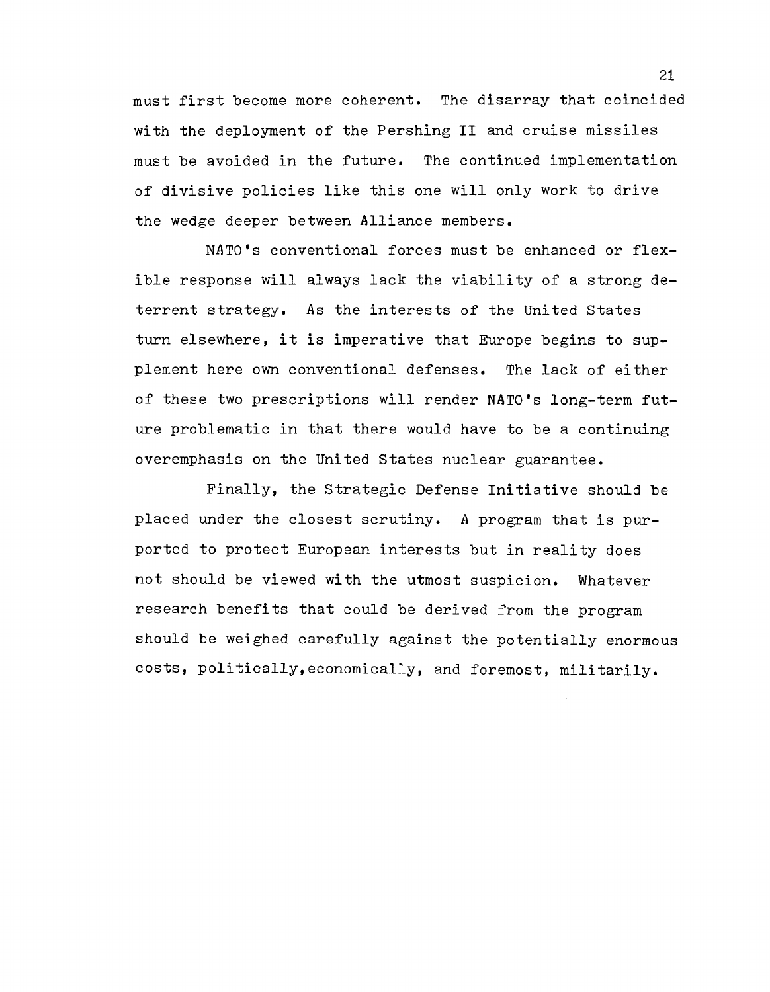must first become more coherent. The disarray that coincided with the deployment of the Pershing II and cruise missiles must be avoided in the future. The continued implementation of divisive policies like this one will only work to drive the wedge deeper between Alliance members.

NATO's conventional forces must be enhanced or flexible response will always lack the viability of a strong deterrent strategy. As the interests of the United States turn elsewhere, it is imperative that Europe begins to supplement here own conventional defenses. The lack of either of these two prescriptions will render NATO's long-term future problematic in that there would have to be a continuing overemphasis on the United states nuclear guarantee.

Finally, the Strategic Defense Initiative should be placed under the closest scrutiny. A program that is purported to protect European interests but in reality does not should be viewed with the utmost suspicion. Whatever research benefits that could be derived from the program should be weighed carefully against the potentially enormous costs, politically,economically, and foremost, militarily.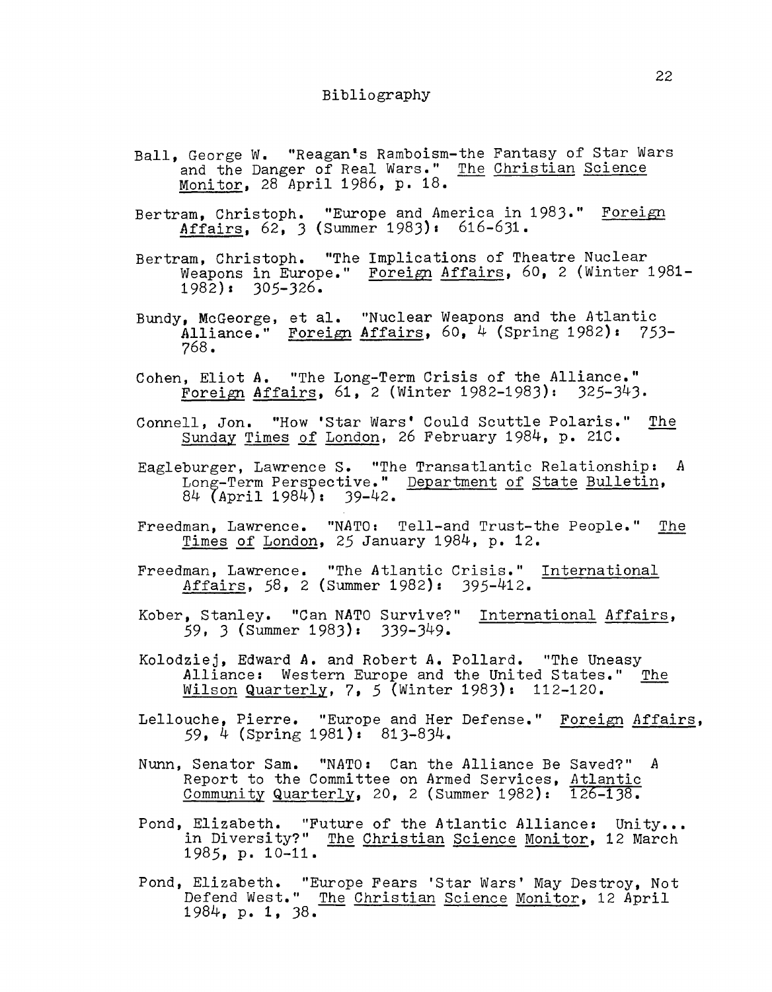## Bibliography

- Ball, George W. "Reagan's Ramboism-the Fantasy of Star Wars and the Danger of Real Wars." The Christian Science Monitor, 28 April 1986, p. 18.
- Bertram, Christoph. "Europe and America in 1983." Foreign Affairs, 62, 3 (Summer 1983): 616-631.
- Bertram, Christoph. "The Implications of Theatre Nuclear Weapons in Europe." Foreign Affairs, 60, 2 (Winter 1981-1982): 305-326.
- Bundy, McGeorge, et ale "Nuclear Weapons and the Atlantic Alliance." Foreign Affairs, 60, 4 (Spring 1982): 753-768.
- Cohen, Eliot *A.* "The Long-Term Crisis of the Alliance." Foreign Affairs, 61, 2 (Winter 1982-1983): 325-343.
- Connell, Jon. "How 'Star Wars' Could Scuttle Polaris." The Sunday Times of London, 26 February 1984, p. 21C.
- Eagleburger, Lawrence S. "The Transatlantic Relationship: A Long-Term Perspective." Department of State Bulletin, 84 (April 1984): 39-42.
- Freedman, Lawrence. *"NATO:* Tell-and Trust-the People." The Times of London, 25 January 1984, p. 12.
- Freedman, Lawrence. "The Atlantic Crisis." International Affairs, 58, 2 (Summer 1982): 395-412.
- Kober, Stanley. "Can NATO Survive?" International Affairs, 59, 3 (Summer 1983): 339-349.
- Kolodziej, Edward **A.** and Robert *A.* Pollard. "The Uneasy Alliance: Western Europe and the United States." The Wilson Quarterly, 7, 5 (Winter 1983): 112-120.
- Lellouche, Pierre. "Europe and Her Defense." Foreign Affairs, 59, 4 (Spring 1981): 813-834.
- Nunn, Senator Sam. "NATO: Can the Alliance Be Saved?" *A*  Report to the Committee on Armed Services, Atlantic Community Quarterly, 20, 2 (Summer 1982): 126-138.
- Pond, Elizabeth. "Future of the Atlantic Alliance: Unity... in Diversity?" The Christian Science Monitor, 12 March 1985, p. 10-11. -
- Pond, Elizabeth. "Europe Fears 'Star Wars' May Destroy, Not Defend West." The Christian Science Monitor, 12 April<br>1984, p. 1, 38.